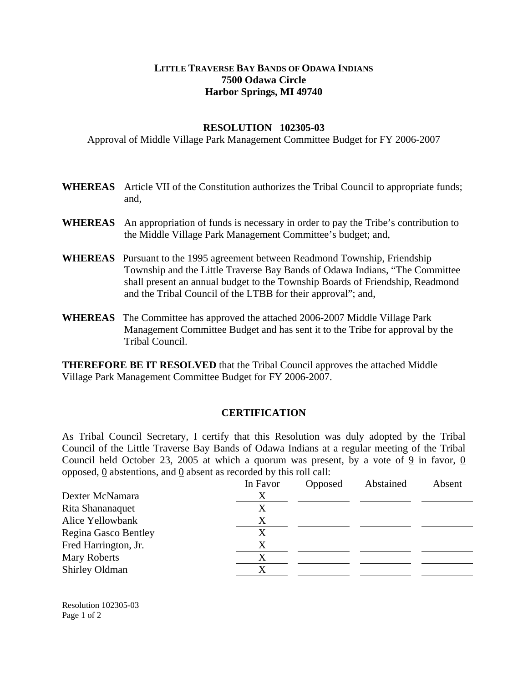## **LITTLE TRAVERSE BAY BANDS OF ODAWA INDIANS 7500 Odawa Circle Harbor Springs, MI 49740**

## **RESOLUTION 102305-03**

Approval of Middle Village Park Management Committee Budget for FY 2006-2007

- **WHEREAS** Article VII of the Constitution authorizes the Tribal Council to appropriate funds; and,
- **WHEREAS** An appropriation of funds is necessary in order to pay the Tribe's contribution to the Middle Village Park Management Committee's budget; and,
- **WHEREAS** Pursuant to the 1995 agreement between Readmond Township, Friendship Township and the Little Traverse Bay Bands of Odawa Indians, "The Committee shall present an annual budget to the Township Boards of Friendship, Readmond and the Tribal Council of the LTBB for their approval"; and,
- **WHEREAS** The Committee has approved the attached 2006-2007 Middle Village Park Management Committee Budget and has sent it to the Tribe for approval by the Tribal Council.

**THEREFORE BE IT RESOLVED** that the Tribal Council approves the attached Middle Village Park Management Committee Budget for FY 2006-2007.

## **CERTIFICATION**

As Tribal Council Secretary, I certify that this Resolution was duly adopted by the Tribal Council of the Little Traverse Bay Bands of Odawa Indians at a regular meeting of the Tribal Council held October 23, 2005 at which a quorum was present, by a vote of 9 in favor, 0 opposed, 0 abstentions, and 0 absent as recorded by this roll call:

|                      | In Favor | Opposed | Abstained | Absent |
|----------------------|----------|---------|-----------|--------|
| Dexter McNamara      | X        |         |           |        |
| Rita Shananaquet     | X        |         |           |        |
| Alice Yellowbank     | X        |         |           |        |
| Regina Gasco Bentley | Х        |         |           |        |
| Fred Harrington, Jr. | X        |         |           |        |
| Mary Roberts         | X        |         |           |        |
| Shirley Oldman       | X        |         |           |        |

Resolution 102305-03 Page 1 of 2